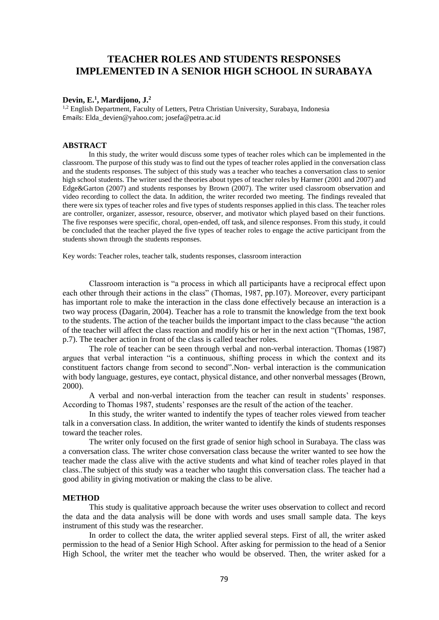# **TEACHER ROLES AND STUDENTS RESPONSES IMPLEMENTED IN A SENIOR HIGH SCHOOL IN SURABAYA**

## **Devin, E.<sup>1</sup> , Mardijono, J.<sup>2</sup>**

<sup>1,2</sup> English Department, Faculty of Letters, Petra Christian University, Surabaya, Indonesia Emails: [Elda\\_devien@yahoo.com;](mailto:Elda_devien@yahoo.com) josefa@petra.ac.id

#### **ABSTRACT**

In this study, the writer would discuss some types of teacher roles which can be implemented in the classroom. The purpose of this study was to find out the types of teacher roles applied in the conversation class and the students responses. The subject of this study was a teacher who teaches a conversation class to senior high school students. The writer used the theories about types of teacher roles by Harmer (2001 and 2007) and Edge&Garton (2007) and students responses by Brown (2007). The writer used classroom observation and video recording to collect the data. In addition, the writer recorded two meeting. The findings revealed that there were six types of teacher roles and five types of students responses applied in this class. The teacher roles are controller, organizer, assessor, resource, observer, and motivator which played based on their functions. The five responses were specific, choral, open-ended, off task, and silence responses. From this study, it could be concluded that the teacher played the five types of teacher roles to engage the active participant from the students shown through the students responses.

Key words: Teacher roles, teacher talk, students responses, classroom interaction

Classroom interaction is "a process in which all participants have a reciprocal effect upon each other through their actions in the class" (Thomas, 1987, pp.107). Moreover, every participant has important role to make the interaction in the class done effectively because an interaction is a two way process (Dagarin, 2004). Teacher has a role to transmit the knowledge from the text book to the students. The action of the teacher builds the important impact to the class because "the action of the teacher will affect the class reaction and modify his or her in the next action "(Thomas, 1987, p.7). The teacher action in front of the class is called teacher roles.

The role of teacher can be seen through verbal and non-verbal interaction. Thomas (1987) argues that verbal interaction "is a continuous, shifting process in which the context and its constituent factors change from second to second".Non- verbal interaction is the communication with body language, gestures, eye contact, physical distance, and other nonverbal messages (Brown, 2000).

A verbal and non-verbal interaction from the teacher can result in students' responses. According to Thomas 1987, students' responses are the result of the action of the teacher.

In this study, the writer wanted to indentify the types of teacher roles viewed from teacher talk in a conversation class. In addition, the writer wanted to identify the kinds of students responses toward the teacher roles.

The writer only focused on the first grade of senior high school in Surabaya. The class was a conversation class. The writer chose conversation class because the writer wanted to see how the teacher made the class alive with the active students and what kind of teacher roles played in that class..The subject of this study was a teacher who taught this conversation class. The teacher had a good ability in giving motivation or making the class to be alive.

### **METHOD**

This study is qualitative approach because the writer uses observation to collect and record the data and the data analysis will be done with words and uses small sample data. The keys instrument of this study was the researcher.

In order to collect the data, the writer applied several steps. First of all, the writer asked permission to the head of a Senior High School. After asking for permission to the head of a Senior High School, the writer met the teacher who would be observed. Then, the writer asked for a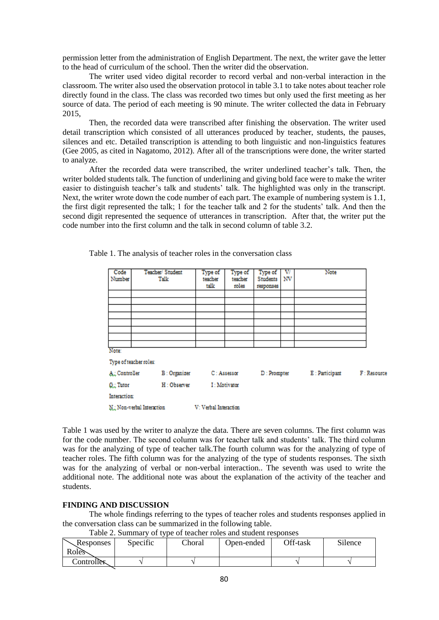permission letter from the administration of English Department. The next, the writer gave the letter to the head of curriculum of the school. Then the writer did the observation.

The writer used video digital recorder to record verbal and non-verbal interaction in the classroom. The writer also used the observation protocol in table 3.1 to take notes about teacher role directly found in the class. The class was recorded two times but only used the first meeting as her source of data. The period of each meeting is 90 minute. The writer collected the data in February 2015,

Then, the recorded data were transcribed after finishing the observation. The writer used detail transcription which consisted of all utterances produced by teacher, students, the pauses, silences and etc. Detailed transcription is attending to both linguistic and non-linguistics features (Gee 2005, as cited in Nagatomo, 2012). After all of the transcriptions were done, the writer started to analyze.

After the recorded data were transcribed, the writer underlined teacher's talk. Then, the writer bolded students talk. The function of underlining and giving bold face were to make the writer easier to distinguish teacher's talk and students' talk. The highlighted was only in the transcript. Next, the writer wrote down the code number of each part. The example of numbering system is 1.1, the first digit represented the talk; 1 for the teacher talk and 2 for the students' talk. And then the second digit represented the sequence of utterances in transcription. After that, the writer put the code number into the first column and the talk in second column of table 3.2.

| Code<br>Number                         | Teacher/ Student<br>Talk   | Type of<br>teacher<br>talk | Type of<br>teacher<br>roles | Type of<br>Students<br>responses | W<br>NV | Note           |             |
|----------------------------------------|----------------------------|----------------------------|-----------------------------|----------------------------------|---------|----------------|-------------|
|                                        |                            |                            |                             |                                  |         |                |             |
|                                        |                            |                            |                             |                                  |         |                |             |
|                                        |                            |                            |                             |                                  |         |                |             |
|                                        |                            |                            |                             |                                  |         |                |             |
| Note:                                  |                            |                            |                             |                                  |         |                |             |
|                                        | Type of teacher roles:     |                            |                             |                                  |         |                |             |
| <b>B</b> : Organizer<br>A.; Controller |                            | C: Assessor                |                             | D: Prompter                      |         | E: Participant | F: Resource |
| $G$ . Tutor                            | H : Observer               | I: Motivator               |                             |                                  |         |                |             |
| <b>Interaction:</b>                    |                            |                            |                             |                                  |         |                |             |
|                                        | N.; Non-verbal Interaction | V: Verbal Interaction      |                             |                                  |         |                |             |

Table 1. The analysis of teacher roles in the conversation class

Table 1 was used by the writer to analyze the data. There are seven columns. The first column was for the code number. The second column was for teacher talk and students' talk. The third column was for the analyzing of type of teacher talk.The fourth column was for the analyzing of type of teacher roles. The fifth column was for the analyzing of the type of students responses. The sixth was for the analyzing of verbal or non-verbal interaction.. The seventh was used to write the additional note. The additional note was about the explanation of the activity of the teacher and students.

# **FINDING AND DISCUSSION**

The whole findings referring to the types of teacher roles and students responses applied in the conversation class can be summarized in the following table.

Table 2. Summary of type of teacher roles and student responses

| Responses<br>Roles | Specific | Choral | Open-ended | Off-task | Silence |
|--------------------|----------|--------|------------|----------|---------|
| Controller         |          |        |            |          |         |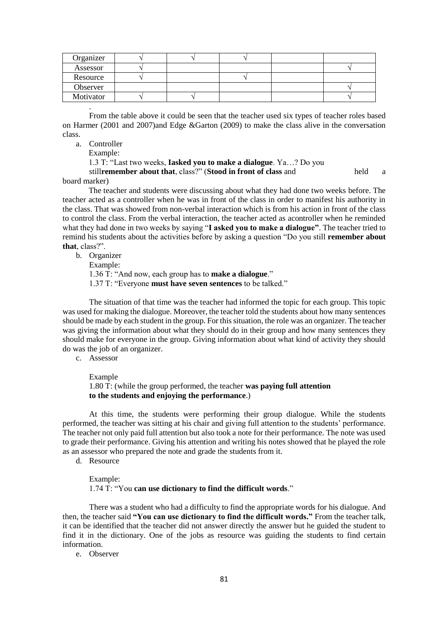| Organizer |  |  |  |
|-----------|--|--|--|
| Assessor  |  |  |  |
| Resource  |  |  |  |
| Observer  |  |  |  |
| Motivator |  |  |  |

From the table above it could be seen that the teacher used six types of teacher roles based on Harmer (2001 and 2007)and Edge &Garton (2009) to make the class alive in the conversation class.

a. Controller

Example:

1.3 T: "Last two weeks, **Iasked you to make a dialogue**. Ya…? Do you still**remember about that**, class?" (**Stood in front of class** and held a

board marker)

.

The teacher and students were discussing about what they had done two weeks before. The teacher acted as a controller when he was in front of the class in order to manifest his authority in the class. That was showed from non-verbal interaction which is from his action in front of the class to control the class. From the verbal interaction, the teacher acted as acontroller when he reminded what they had done in two weeks by saying "**I asked you to make a dialogue"**. The teacher tried to remind his students about the activities before by asking a question "Do you still **remember about that**, class?".

b. Organizer

Example:

1.36 T: "And now, each group has to **make a dialogue**."

1.37 T: "Everyone **must have seven sentences** to be talked."

The situation of that time was the teacher had informed the topic for each group. This topic was used for making the dialogue. Moreover, the teacher told the students about how many sentences should be made by each student in the group. For this situation, the role was an organizer. The teacher was giving the information about what they should do in their group and how many sentences they should make for everyone in the group. Giving information about what kind of activity they should do was the job of an organizer.

c. Assessor

#### Example

# 1.80 T: (while the group performed, the teacher **was paying full attention to the students and enjoying the performance**.)

At this time, the students were performing their group dialogue. While the students performed, the teacher was sitting at his chair and giving full attention to the students' performance. The teacher not only paid full attention but also took a note for their performance. The note was used to grade their performance. Giving his attention and writing his notes showed that he played the role as an assessor who prepared the note and grade the students from it.

d. Resource

#### Example:

1.74 T: "You **can use dictionary to find the difficult words**."

There was a student who had a difficulty to find the appropriate words for his dialogue. And then, the teacher said **"You can use dictionary to find the difficult words."** From the teacher talk, it can be identified that the teacher did not answer directly the answer but he guided the student to find it in the dictionary. One of the jobs as resource was guiding the students to find certain information.

e. Observer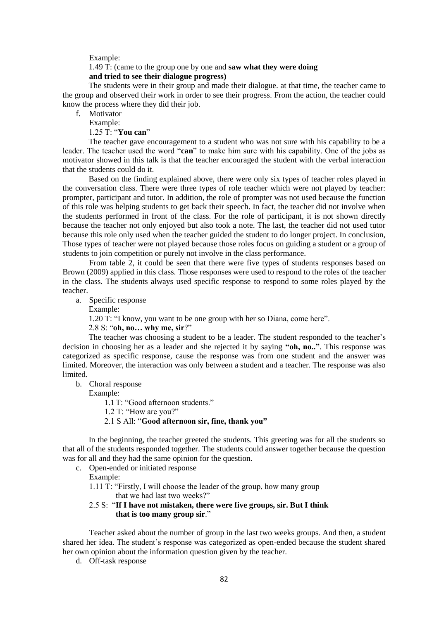Example:

### 1.49 T: (came to the group one by one and **saw what they were doing**

# **and tried to see their dialogue progress)**

The students were in their group and made their dialogue. at that time, the teacher came to the group and observed their work in order to see their progress. From the action, the teacher could know the process where they did their job.

f. Motivator

Example:

1.25 T: "**You can**"

The teacher gave encouragement to a student who was not sure with his capability to be a leader. The teacher used the word "**can**" to make him sure with his capability. One of the jobs as motivator showed in this talk is that the teacher encouraged the student with the verbal interaction that the students could do it.

Based on the finding explained above, there were only six types of teacher roles played in the conversation class. There were three types of role teacher which were not played by teacher: prompter, participant and tutor. In addition, the role of prompter was not used because the function of this role was helping students to get back their speech. In fact, the teacher did not involve when the students performed in front of the class. For the role of participant, it is not shown directly because the teacher not only enjoyed but also took a note. The last, the teacher did not used tutor because this role only used when the teacher guided the student to do longer project. In conclusion, Those types of teacher were not played because those roles focus on guiding a student or a group of students to join competition or purely not involve in the class performance.

From table 2, it could be seen that there were five types of students responses based on Brown (2009) applied in this class. Those responses were used to respond to the roles of the teacher in the class. The students always used specific response to respond to some roles played by the teacher.

- a. Specific response
	- Example:

1.20 T: "I know, you want to be one group with her so Diana, come here".

2.8 S: "**oh, no… why me, sir**?"

The teacher was choosing a student to be a leader. The student responded to the teacher's decision in choosing her as a leader and she rejected it by saying **"oh, no.."**. This response was categorized as specific response, cause the response was from one student and the answer was limited. Moreover, the interaction was only between a student and a teacher. The response was also limited.

b. Choral response

Example:

1.1T: "Good afternoon students."

1.2 T: "How are you?"

#### 2.1 S All: "**Good afternoon sir, fine, thank you"**

In the beginning, the teacher greeted the students. This greeting was for all the students so that all of the students responded together. The students could answer together because the question was for all and they had the same opinion for the question.

c. Open-ended or initiated response

Example:

1.11 T: "Firstly, I will choose the leader of the group, how many group that we had last two weeks?"

## 2.5 S: "**If I have not mistaken, there were five groups, sir. But I think that is too many group sir**."

Teacher asked about the number of group in the last two weeks groups. And then, a student shared her idea. The student's response was categorized as open-ended because the student shared her own opinion about the information question given by the teacher.

d. Off-task response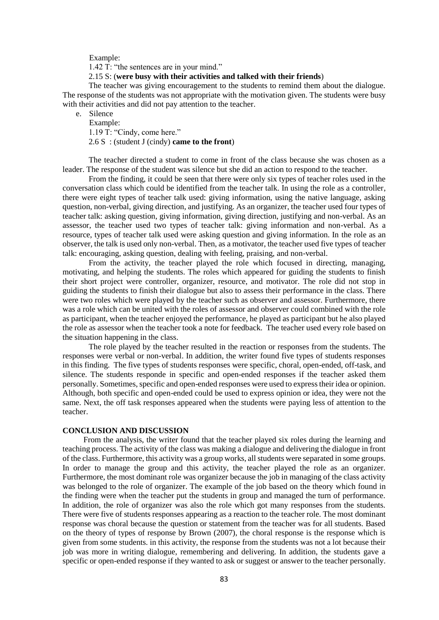Example:

1.42 T: "the sentences are in your mind."

2.15 S: (**were busy with their activities and talked with their friends**)

The teacher was giving encouragement to the students to remind them about the dialogue. The response of the students was not appropriate with the motivation given. The students were busy with their activities and did not pay attention to the teacher.

e. Silence

Example: 1.19 T: "Cindy, come here."

2.6 S : (student J (cindy) **came to the front**)

The teacher directed a student to come in front of the class because she was chosen as a leader. The response of the student was silence but she did an action to respond to the teacher.

From the finding, it could be seen that there were only six types of teacher roles used in the conversation class which could be identified from the teacher talk. In using the role as a controller, there were eight types of teacher talk used: giving information, using the native language, asking question, non-verbal, giving direction, and justifying. As an organizer, the teacher used four types of teacher talk: asking question, giving information, giving direction, justifying and non-verbal. As an assessor, the teacher used two types of teacher talk: giving information and non-verbal. As a resource, types of teacher talk used were asking question and giving information. In the role as an observer, the talk is used only non-verbal. Then, as a motivator, the teacher used five types of teacher talk: encouraging, asking question, dealing with feeling, praising, and non-verbal.

From the activity, the teacher played the role which focused in directing, managing, motivating, and helping the students. The roles which appeared for guiding the students to finish their short project were controller, organizer, resource, and motivator. The role did not stop in guiding the students to finish their dialogue but also to assess their performance in the class. There were two roles which were played by the teacher such as observer and assessor. Furthermore, there was a role which can be united with the roles of assessor and observer could combined with the role as participant, when the teacher enjoyed the performance, he played as participant but he also played the role as assessor when the teacher took a note for feedback. The teacher used every role based on the situation happening in the class.

The role played by the teacher resulted in the reaction or responses from the students. The responses were verbal or non-verbal. In addition, the writer found five types of students responses in this finding. The five types of students responses were specific, choral, open-ended, off-task, and silence. The students responde in specific and open-ended responses if the teacher asked them personally. Sometimes, specific and open-ended responses were used to express their idea or opinion. Although, both specific and open-ended could be used to express opinion or idea, they were not the same. Next, the off task responses appeared when the students were paying less of attention to the teacher.

# **CONCLUSION AND DISCUSSION**

From the analysis, the writer found that the teacher played six roles during the learning and teaching process. The activity of the class was making a dialogue and delivering the dialogue in front of the class. Furthermore, this activity was a group works, all students were separated in some groups. In order to manage the group and this activity, the teacher played the role as an organizer. Furthermore, the most dominant role was organizer because the job in managing of the class activity was belonged to the role of organizer. The example of the job based on the theory which found in the finding were when the teacher put the students in group and managed the turn of performance. In addition, the role of organizer was also the role which got many responses from the students. There were five of students responses appearing as a reaction to the teacher role. The most dominant response was choral because the question or statement from the teacher was for all students. Based on the theory of types of response by Brown (2007), the choral response is the response which is given from some students. in this activity, the response from the students was not a lot because their job was more in writing dialogue, remembering and delivering. In addition, the students gave a specific or open-ended response if they wanted to ask or suggest or answer to the teacher personally.